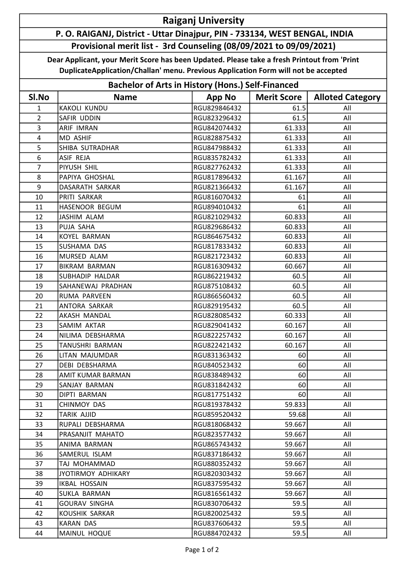## Raiganj University

## P. O. RAIGANJ, District - Uttar Dinajpur, PIN - 733134, WEST BENGAL, INDIA Provisional merit list - 3rd Counseling (08/09/2021 to 09/09/2021)

Dear Applicant, your Merit Score has been Updated. Please take a fresh Printout from 'Print DuplicateApplication/Challan' menu. Previous Application Form will not be accepted

| <b>Bachelor of Arts in History (Hons.) Self-Financed</b> |                        |               |                    |                         |  |  |
|----------------------------------------------------------|------------------------|---------------|--------------------|-------------------------|--|--|
| SI.No                                                    | <b>Name</b>            | <b>App No</b> | <b>Merit Score</b> | <b>Alloted Category</b> |  |  |
| $\mathbf{1}$                                             | <b>KAKOLI KUNDU</b>    | RGU829846432  | 61.5               | All                     |  |  |
| $\overline{2}$                                           | SAFIR UDDIN            | RGU823296432  | 61.5               | All                     |  |  |
| 3                                                        | <b>ARIF IMRAN</b>      | RGU842074432  | 61.333             | All                     |  |  |
| $\overline{\mathbf{4}}$                                  | <b>MD ASHIF</b>        | RGU828875432  | 61.333             | All                     |  |  |
| 5                                                        | SHIBA SUTRADHAR        | RGU847988432  | 61.333             | All                     |  |  |
| 6                                                        | ASIF REJA              | RGU835782432  | 61.333             | All                     |  |  |
| $\overline{7}$                                           | PIYUSH SHIL            | RGU827762432  | 61.333             | All                     |  |  |
| 8                                                        | PAPIYA GHOSHAL         | RGU817896432  | 61.167             | All                     |  |  |
| 9                                                        | DASARATH SARKAR        | RGU821366432  | 61.167             | All                     |  |  |
| 10                                                       | PRITI SARKAR           | RGU816070432  | 61                 | All                     |  |  |
| 11                                                       | HASENOOR BEGUM         | RGU894010432  | 61                 | All                     |  |  |
| 12                                                       | <b>JASHIM ALAM</b>     | RGU821029432  | 60.833             | All                     |  |  |
| 13                                                       | PUJA SAHA              | RGU829686432  | 60.833             | All                     |  |  |
| 14                                                       | KOYEL BARMAN           | RGU864675432  | 60.833             | All                     |  |  |
| 15                                                       | SUSHAMA DAS            | RGU817833432  | 60.833             | All                     |  |  |
| 16                                                       | MURSED ALAM            | RGU821723432  | 60.833             | All                     |  |  |
| 17                                                       | <b>BIKRAM BARMAN</b>   | RGU816309432  | 60.667             | All                     |  |  |
| 18                                                       | <b>SUBHADIP HALDAR</b> | RGU862219432  | 60.5               | All                     |  |  |
| 19                                                       | SAHANEWAJ PRADHAN      | RGU875108432  | 60.5               | All                     |  |  |
| 20                                                       | RUMA PARVEEN           | RGU866560432  | 60.5               | All                     |  |  |
| 21                                                       | ANTORA SARKAR          | RGU829195432  | 60.5               | All                     |  |  |
| 22                                                       | AKASH MANDAL           | RGU828085432  | 60.333             | All                     |  |  |
| 23                                                       | SAMIM AKTAR            | RGU829041432  | 60.167             | All                     |  |  |
| 24                                                       | NILIMA DEBSHARMA       | RGU822257432  | 60.167             | All                     |  |  |
| 25                                                       | <b>TANUSHRI BARMAN</b> | RGU822421432  | 60.167             | All                     |  |  |
| 26                                                       | LITAN MAJUMDAR         | RGU831363432  | 60                 | All                     |  |  |
| 27                                                       | <b>DEBI DEBSHARMA</b>  | RGU840523432  | 60                 | All                     |  |  |
| 28                                                       | AMIT KUMAR BARMAN      | RGU838489432  | 60                 | All                     |  |  |
| 29                                                       | SANJAY BARMAN          | RGU831842432  | 60                 | All                     |  |  |
| 30                                                       | DIPTI BARMAN           | RGU817751432  | 60                 | All                     |  |  |
| 31                                                       | CHINMOY DAS            | RGU819378432  | 59.833             | All                     |  |  |
| 32                                                       | <b>TARIK AJJID</b>     | RGU859520432  | 59.68              | All                     |  |  |
| 33                                                       | RUPALI DEBSHARMA       | RGU818068432  | 59.667             | All                     |  |  |
| 34                                                       | PRASANJIT MAHATO       | RGU823577432  | 59.667             | All                     |  |  |
| 35                                                       | ANIMA BARMAN           | RGU865743432  | 59.667             | All                     |  |  |
| 36                                                       | SAMERUL ISLAM          | RGU837186432  | 59.667             | All                     |  |  |
| 37                                                       | TAJ MOHAMMAD           | RGU880352432  | 59.667             | All                     |  |  |
| 38                                                       | JYOTIRMOY ADHIKARY     | RGU820303432  | 59.667             | All                     |  |  |
| 39                                                       | <b>IKBAL HOSSAIN</b>   | RGU837595432  | 59.667             | All                     |  |  |
| 40                                                       | SUKLA BARMAN           | RGU816561432  | 59.667             | All                     |  |  |
| 41                                                       | <b>GOURAV SINGHA</b>   | RGU830706432  | 59.5               | All                     |  |  |
| 42                                                       | KOUSHIK SARKAR         | RGU820025432  | 59.5               | All                     |  |  |
| 43                                                       | <b>KARAN DAS</b>       | RGU837606432  | 59.5               | All                     |  |  |
| 44                                                       | MAINUL HOQUE           | RGU884702432  | 59.5               | All                     |  |  |